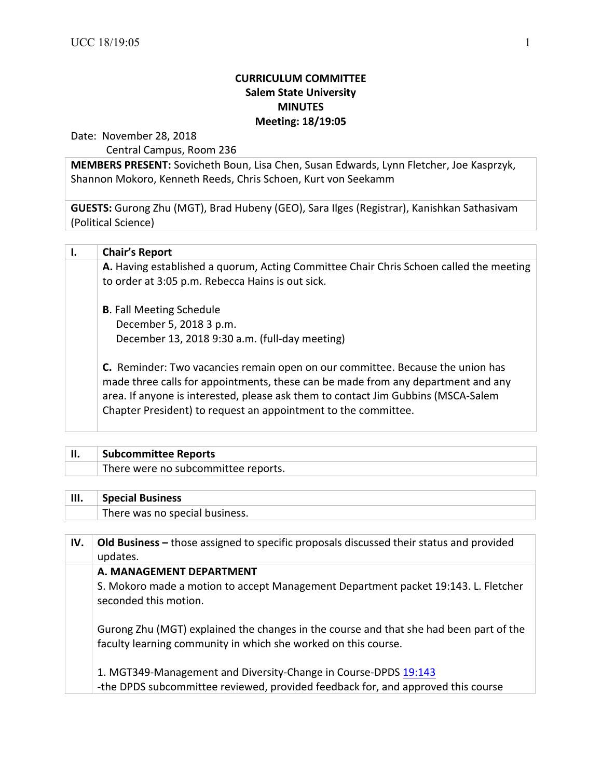## **CURRICULUM COMMITTEE Salem State University MINUTES Meeting: 18/19:05**

Date: November 28, 2018

Central Campus, Room 236

**MEMBERS PRESENT:** Sovicheth Boun, Lisa Chen, Susan Edwards, Lynn Fletcher, Joe Kasprzyk, Shannon Mokoro, Kenneth Reeds, Chris Schoen, Kurt von Seekamm

**GUESTS:** Gurong Zhu (MGT), Brad Hubeny (GEO), Sara Ilges (Registrar), Kanishkan Sathasivam (Political Science)

| <b>Chair's Report</b>                                                                                                                                                                                                                                                                                                     |
|---------------------------------------------------------------------------------------------------------------------------------------------------------------------------------------------------------------------------------------------------------------------------------------------------------------------------|
| A. Having established a quorum, Acting Committee Chair Chris Schoen called the meeting                                                                                                                                                                                                                                    |
| to order at 3:05 p.m. Rebecca Hains is out sick.                                                                                                                                                                                                                                                                          |
| <b>B.</b> Fall Meeting Schedule                                                                                                                                                                                                                                                                                           |
| December 5, 2018 3 p.m.                                                                                                                                                                                                                                                                                                   |
| December 13, 2018 9:30 a.m. (full-day meeting)                                                                                                                                                                                                                                                                            |
| C. Reminder: Two vacancies remain open on our committee. Because the union has<br>made three calls for appointments, these can be made from any department and any<br>area. If anyone is interested, please ask them to contact Jim Gubbins (MSCA-Salem<br>Chapter President) to request an appointment to the committee. |
|                                                                                                                                                                                                                                                                                                                           |

## **II.** Subcommittee Reports There were no subcommittee reports.

## **III.** Special Business

There was no special business.

| IV. | Old Business – those assigned to specific proposals discussed their status and provided<br>updates.                                                      |
|-----|----------------------------------------------------------------------------------------------------------------------------------------------------------|
|     | A. MANAGEMENT DEPARTMENT<br>S. Mokoro made a motion to accept Management Department packet 19:143. L. Fletcher                                           |
|     | seconded this motion.                                                                                                                                    |
|     | Gurong Zhu (MGT) explained the changes in the course and that she had been part of the<br>faculty learning community in which she worked on this course. |
|     | 1. MGT349-Management and Diversity-Change in Course-DPDS 19:143<br>-the DPDS subcommittee reviewed, provided feedback for, and approved this course      |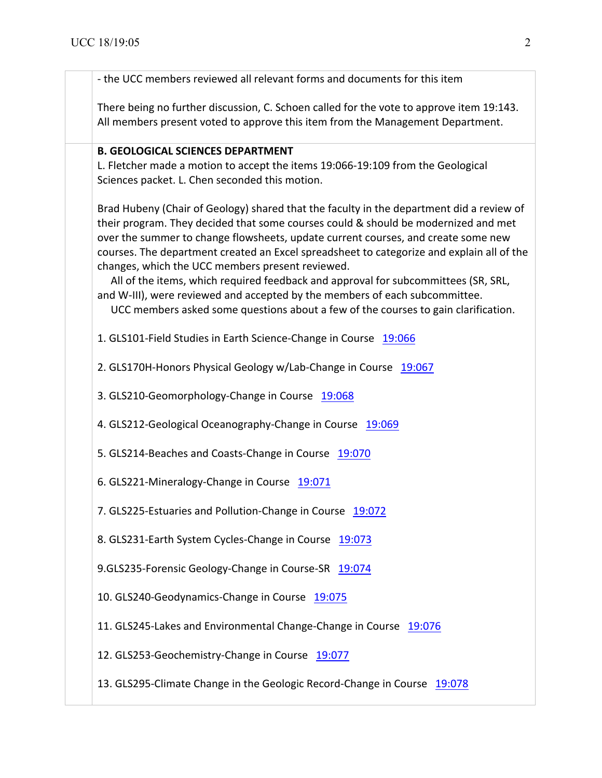- the UCC members reviewed all relevant forms and documents for this item There being no further discussion, C. Schoen called for the vote to approve item 19:143. All members present voted to approve this item from the Management Department. **B. GEOLOGICAL SCIENCES DEPARTMENT** L. Fletcher made a motion to accept the items 19:066-19:109 from the Geological Sciences packet. L. Chen seconded this motion. Brad Hubeny (Chair of Geology) shared that the faculty in the department did a review of their program. They decided that some courses could & should be modernized and met over the summer to change flowsheets, update current courses, and create some new courses. The department created an Excel spreadsheet to categorize and explain all of the changes, which the UCC members present reviewed. All of the items, which required feedback and approval for subcommittees (SR, SRL, and W-III), were reviewed and accepted by the members of each subcommittee. UCC members asked some questions about a few of the courses to gain clarification. 1. GLS101-Field Studies in Earth Science-Change in Course 19:066 2. GLS170H-Honors Physical Geology w/Lab-Change in Course 19:067 3. GLS210-Geomorphology-Change in Course 19:068 4. GLS212-Geological Oceanography-Change in Course 19:069 5. GLS214-Beaches and Coasts-Change in Course 19:070 6. GLS221-Mineralogy-Change in Course 19:071 7. GLS225-Estuaries and Pollution-Change in Course 19:072 8. GLS231-Earth System Cycles-Change in Course 19:073 9.GLS235-Forensic Geology-Change in Course-SR 19:074 10. GLS240-Geodynamics-Change in Course 19:075 11. GLS245-Lakes and Environmental Change-Change in Course 19:076 12. GLS253-Geochemistry-Change in Course 19:077 13. GLS295-Climate Change in the Geologic Record-Change in Course 19:078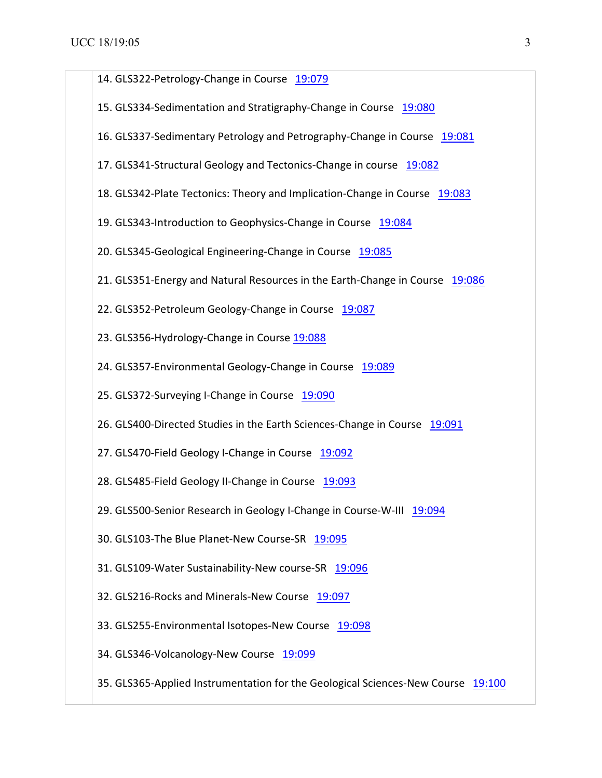| 14. GLS322-Petrology-Change in Course 19:079                                     |  |
|----------------------------------------------------------------------------------|--|
| 15. GLS334-Sedimentation and Stratigraphy-Change in Course 19:080                |  |
| 16. GLS337-Sedimentary Petrology and Petrography-Change in Course 19:081         |  |
| 17. GLS341-Structural Geology and Tectonics-Change in course 19:082              |  |
| 18. GLS342-Plate Tectonics: Theory and Implication-Change in Course 19:083       |  |
| 19. GLS343-Introduction to Geophysics-Change in Course 19:084                    |  |
| 20. GLS345-Geological Engineering-Change in Course 19:085                        |  |
| 21. GLS351-Energy and Natural Resources in the Earth-Change in Course 19:086     |  |
| 22. GLS352-Petroleum Geology-Change in Course 19:087                             |  |
| 23. GLS356-Hydrology-Change in Course 19:088                                     |  |
| 24. GLS357-Environmental Geology-Change in Course 19:089                         |  |
| 25. GLS372-Surveying I-Change in Course 19:090                                   |  |
| 26. GLS400-Directed Studies in the Earth Sciences-Change in Course 19:091        |  |
| 27. GLS470-Field Geology I-Change in Course 19:092                               |  |
| 28. GLS485-Field Geology II-Change in Course 19:093                              |  |
| 29. GLS500-Senior Research in Geology I-Change in Course-W-III 19:094            |  |
| 30. GLS103-The Blue Planet-New Course-SR 19:095                                  |  |
| 31. GLS109-Water Sustainability-New course-SR 19:096                             |  |
| 32. GLS216-Rocks and Minerals-New Course 19:097                                  |  |
| 33. GLS255-Environmental Isotopes-New Course 19:098                              |  |
| 34. GLS346-Volcanology-New Course 19:099                                         |  |
| 35. GLS365-Applied Instrumentation for the Geological Sciences-New Course 19:100 |  |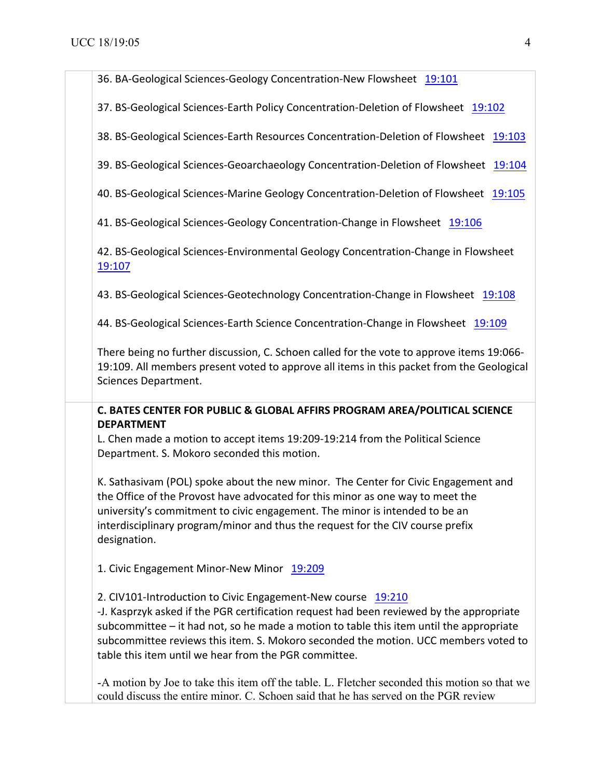36. BA-Geological Sciences-Geology Concentration-New Flowsheet 19:101

37. BS-Geological Sciences-Earth Policy Concentration-Deletion of Flowsheet 19:102

38. BS-Geological Sciences-Earth Resources Concentration-Deletion of Flowsheet 19:103

39. BS-Geological Sciences-Geoarchaeology Concentration-Deletion of Flowsheet 19:104

40. BS-Geological Sciences-Marine Geology Concentration-Deletion of Flowsheet 19:105

41. BS-Geological Sciences-Geology Concentration-Change in Flowsheet 19:106

42. BS-Geological Sciences-Environmental Geology Concentration-Change in Flowsheet <mark>19:107</mark> година в селото на селото на селото на селото на селото на селото на селото на селото на селото на село

43. BS-Geological Sciences-Geotechnology Concentration-Change in Flowsheet 19:108

44. BS-Geological Sciences-Earth Science Concentration-Change in Flowsheet 19:109

There being no further discussion, C. Schoen called for the vote to approve items 19:066-19:109. All members present voted to approve all items in this packet from the Geological Sciences Department. 

**C. BATES CENTER FOR PUBLIC & GLOBAL AFFIRS PROGRAM AREA/POLITICAL SCIENCE DEPARTMENT**

L. Chen made a motion to accept items 19:209-19:214 from the Political Science Department. S. Mokoro seconded this motion.

K. Sathasivam (POL) spoke about the new minor. The Center for Civic Engagement and the Office of the Provost have advocated for this minor as one way to meet the university's commitment to civic engagement. The minor is intended to be an interdisciplinary program/minor and thus the request for the CIV course prefix designation.

1. Civic Engagement Minor-New Minor 19:209

2. CIV101-Introduction to Civic Engagement-New course 19:210

-J. Kasprzyk asked if the PGR certification request had been reviewed by the appropriate subcommittee  $-$  it had not, so he made a motion to table this item until the appropriate subcommittee reviews this item. S. Mokoro seconded the motion. UCC members voted to table this item until we hear from the PGR committee.

-A motion by Joe to take this item off the table. L. Fletcher seconded this motion so that we could discuss the entire minor. C. Schoen said that he has served on the PGR review